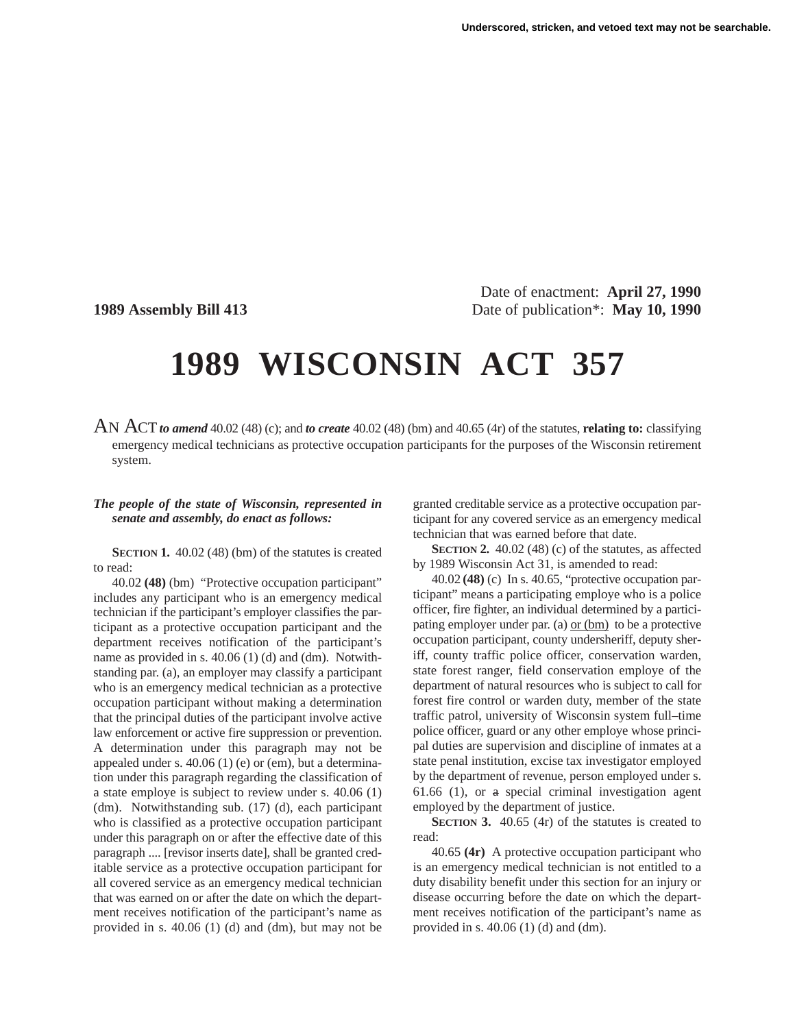Date of enactment: **April 27, 1990 1989 Assembly Bill 413** Date of publication\*: **May 10, 1990**

## **1989 WISCONSIN ACT 357**

## AN ACT*to amend* 40.02 (48) (c); and *to create* 40.02 (48) (bm) and 40.65 (4r) of the statutes, **relating to:** classifying emergency medical technicians as protective occupation participants for the purposes of the Wisconsin retirement system.

## *The people of the state of Wisconsin, represented in senate and assembly, do enact as follows:*

**SECTION 1.** 40.02 (48) (bm) of the statutes is created to read:

40.02 **(48)** (bm) "Protective occupation participant" includes any participant who is an emergency medical technician if the participant's employer classifies the participant as a protective occupation participant and the department receives notification of the participant's name as provided in s. 40.06 (1) (d) and (dm). Notwithstanding par. (a), an employer may classify a participant who is an emergency medical technician as a protective occupation participant without making a determination that the principal duties of the participant involve active law enforcement or active fire suppression or prevention. A determination under this paragraph may not be appealed under s. 40.06 (1) (e) or (em), but a determination under this paragraph regarding the classification of a state employe is subject to review under s. 40.06 (1) (dm). Notwithstanding sub. (17) (d), each participant who is classified as a protective occupation participant under this paragraph on or after the effective date of this paragraph .... [revisor inserts date], shall be granted creditable service as a protective occupation participant for all covered service as an emergency medical technician that was earned on or after the date on which the department receives notification of the participant's name as provided in s. 40.06 (1) (d) and (dm), but may not be

granted creditable service as a protective occupation participant for any covered service as an emergency medical technician that was earned before that date.

**SECTION 2.** 40.02 (48) (c) of the statutes, as affected by 1989 Wisconsin Act 31, is amended to read:

40.02 **(48)** (c) In s. 40.65, "protective occupation participant" means a participating employe who is a police officer, fire fighter, an individual determined by a participating employer under par. (a)  $or (bm)$  to be a protective</u> occupation participant, county undersheriff, deputy sheriff, county traffic police officer, conservation warden, state forest ranger, field conservation employe of the department of natural resources who is subject to call for forest fire control or warden duty, member of the state traffic patrol, university of Wisconsin system full–time police officer, guard or any other employe whose principal duties are supervision and discipline of inmates at a state penal institution, excise tax investigator employed by the department of revenue, person employed under s. 61.66 (1), or a special criminal investigation agent employed by the department of justice.

**SECTION 3.** 40.65 (4r) of the statutes is created to read:

40.65 **(4r)** A protective occupation participant who is an emergency medical technician is not entitled to a duty disability benefit under this section for an injury or disease occurring before the date on which the department receives notification of the participant's name as provided in s. 40.06 (1) (d) and (dm).